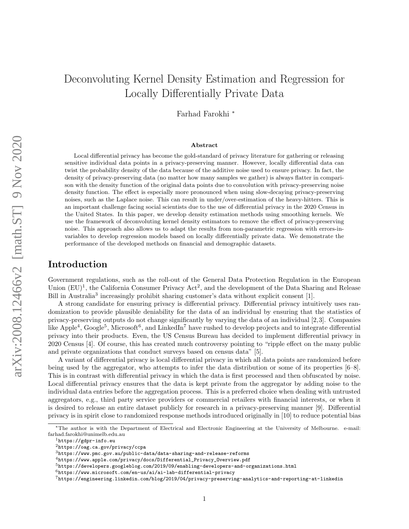# Deconvoluting Kernel Density Estimation and Regression for Locally Differentially Private Data

Farhad Farokhi <sup>∗</sup>

#### Abstract

Local differential privacy has become the gold-standard of privacy literature for gathering or releasing sensitive individual data points in a privacy-preserving manner. However, locally differential data can twist the probability density of the data because of the additive noise used to ensure privacy. In fact, the density of privacy-preserving data (no matter how many samples we gather) is always flatter in comparison with the density function of the original data points due to convolution with privacy-preserving noise density function. The effect is especially more pronounced when using slow-decaying privacy-preserving noises, such as the Laplace noise. This can result in under/over-estimation of the heavy-hitters. This is an important challenge facing social scientists due to the use of differential privacy in the 2020 Census in the United States. In this paper, we develop density estimation methods using smoothing kernels. We use the framework of deconvoluting kernel density estimators to remove the effect of privacy-preserving noise. This approach also allows us to adapt the results from non-parametric regression with errors-invariables to develop regression models based on locally differentially private data. We demonstrate the performance of the developed methods on financial and demographic datasets.

### Introduction

Government regulations, such as the roll-out of the General Data Protection Regulation in the European Union  $(EU)^1$ , the California Consumer Privacy Act<sup>2</sup>, and the development of the Data Sharing and Release Bill in Australia<sup>3</sup> increasingly prohibit sharing customer's data without explicit consent [1].

A strong candidate for ensuring privacy is differential privacy. Differential privacy intuitively uses randomization to provide plausible deniability for the data of an individual by ensuring that the statistics of privacy-preserving outputs do not change significantly by varying the data of an individual [2,3]. Companies like Apple<sup>4</sup>, Google<sup>5</sup>, Microsoft<sup>6</sup>, and LinkedIn<sup>7</sup> have rushed to develop projects and to integrate differential privacy into their products. Even, the US Census Bureau has decided to implement differential privacy in 2020 Census [4]. Of course, this has created much controversy pointing to "ripple effect on the many public and private organizations that conduct surveys based on census data" [5].

A variant of differential privacy is local differential privacy in which all data points are randomized before being used by the aggregator, who attempts to infer the data distribution or some of its properties [6–8]. This is in contrast with differential privacy in which the data is first processed and then obfuscated by noise. Local differential privacy ensures that the data is kept private from the aggregator by adding noise to the individual data entries before the aggregation process. This is a preferred choice when dealing with untrusted aggregators, e.g., third party service providers or commercial retailers with financial interests, or when it is desired to release an entire dataset publicly for research in a privacy-preserving manner [9]. Differential privacy is in spirit close to randomized response methods introduced originally in [10] to reduce potential bias

<sup>∗</sup>The author is with the Department of Electrical and Electronic Engineering at the University of Melbourne. e-mail: farhad.farokhi@unimelb.edu.au

<sup>1</sup>https://gdpr-info.eu

<sup>2</sup>https://oag.ca.gov/privacy/ccpa

 $3$ https://www.pmc.gov.au/public-data/data-sharing-and-release-reforms

<sup>4</sup>https://www.apple.com/privacy/docs/Differential\_Privacy\_Overview.pdf

 $^{5}$ https://developers.googleblog.com/2019/09/enabling-developers-and-organizations.html

 $6$ https://www.microsoft.com/en-us/ai/ai-lab-differential-privacy

 $^{7}$ https://engineering.linkedin.com/blog/2019/04/privacy-preserving-analytics-and-reporting-at-linkedin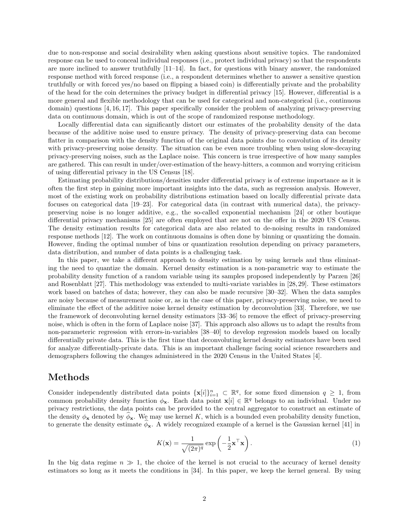due to non-response and social desirability when asking questions about sensitive topics. The randomized response can be used to conceal individual responses (i.e., protect individual privacy) so that the respondents are more inclined to answer truthfully  $[11-14]$ . In fact, for questions with binary answer, the randomized response method with forced response (i.e., a respondent determines whether to answer a sensitive question truthfully or with forced yes/no based on flipping a biased coin) is differentially private and the probability of the head for the coin determines the privacy budget in differential privacy [15]. However, differential is a more general and flexible methodology that can be used for categorical and non-categorical (i.e., continuous domain) questions [4, 16, 17]. This paper specifically consider the problem of analyzing privacy-preserving data on continuous domain, which is out of the scope of randomized response methodology.

Locally differential data can significantly distort our estimates of the probability density of the data because of the additive noise used to ensure privacy. The density of privacy-preserving data can become flatter in comparison with the density function of the original data points due to convolution of its density with privacy-preserving noise density. The situation can be even more troubling when using slow-decaying privacy-preserving noises, such as the Laplace noise. This concern is true irrespective of how many samples are gathered. This can result in under/over-estimation of the heavy-hitters, a common and worrying criticism of using differential privacy in the US Census [18].

Estimating probability distributions/densities under differential privacy is of extreme importance as it is often the first step in gaining more important insights into the data, such as regression analysis. However, most of the existing work on probability distributions estimation based on locally differential private data focuses on categorical data [19–23]. For categorical data (in contrast with numerical data), the privacypreserving noise is no longer additive, e.g., the so-called exponential mechanism [24] or other boutique differential privacy mechanisms [25] are often employed that are not on the offer in the 2020 US Census. The density estimation results for categorical data are also related to de-noising results in randomized response methods [12]. The work on continuous domains is often done by binning or quantizing the domain. However, finding the optimal number of bins or quantization resolution depending on privacy parameters, data distribution, and number of data points is a challenging task.

In this paper, we take a different approach to density estimation by using kernels and thus eliminating the need to quantize the domain. Kernel density estimation is a non-parametric way to estimate the probability density function of a random variable using its samples proposed independently by Parzen [26] and Rosenblatt [27]. This methodology was extended to multi-variate variables in [28, 29]. These estimators work based on batches of data; however, they can also be made recursive [30–32]. When the data samples are noisy because of measurement noise or, as in the case of this paper, privacy-preserving noise, we need to eliminate the effect of the additive noise kernel density estimation by deconvolution [33]. Therefore, we use the framework of deconvoluting kernel density estimators [33–36] to remove the effect of privacy-preserving noise, which is often in the form of Laplace noise [37]. This approach also allows us to adapt the results from non-parameteric regression with errors-in-variables [38–40] to develop regression models based on locally differentially private data. This is the first time that deconvoluting kernel density estimators have been used for analyze differentially-private data. This is an important challenge facing social science researchers and demographers following the changes administered in the 2020 Census in the United States [4].

### Methods

Consider independently distributed data points  $\{\mathbf{x}[i]\}_{i=1}^n \subset \mathbb{R}^q$ , for some fixed dimension  $q \geq 1$ , from common probability density function  $\phi_{\mathbf{x}}$ . Each data point  $\mathbf{x}[i] \in \mathbb{R}^q$  belongs to an individual. Under no privacy restrictions, the data points can be provided to the central aggregator to construct an estimate of the density  $\phi_{\mathbf{x}}$  denoted by  $\phi_{\mathbf{x}}$ . We may use kernel K, which is a bounded even probability density function, to generate the density estimate  $\phi_{\mathbf{x}}$ . A widely recognized example of a kernel is the Gaussian kernel [41] in

$$
K(\mathbf{x}) = \frac{1}{\sqrt{(2\pi)^q}} \exp\left(-\frac{1}{2}\mathbf{x}^\top \mathbf{x}\right).
$$
 (1)

In the big data regime  $n \gg 1$ , the choice of the kernel is not crucial to the accuracy of kernel density estimators so long as it meets the conditions in [34]. In this paper, we keep the kernel general. By using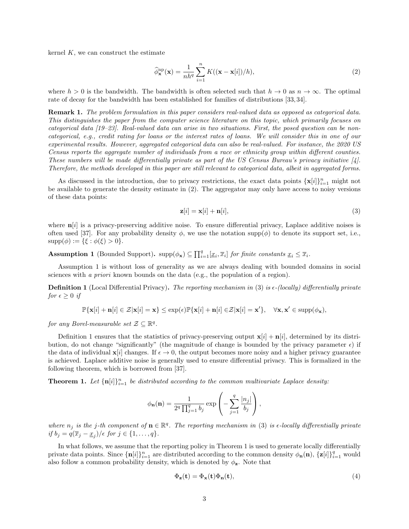kernel  $K$ , we can construct the estimate

$$
\widehat{\phi}_{\mathbf{x}}^{\mathrm{np}}(\mathbf{x}) = \frac{1}{nh^q} \sum_{i=1}^n K((\mathbf{x} - \mathbf{x}[i])/h),
$$
\n(2)

where  $h > 0$  is the bandwidth. The bandwidth is often selected such that  $h \to 0$  as  $n \to \infty$ . The optimal rate of decay for the bandwidth has been established for families of distributions [33, 34].

Remark 1. The problem formulation in this paper considers real-valued data as opposed as categorical data. This distinguishes the paper from the computer science literature on this topic, which primarily focuses on categorical data [19–23]. Real-valued data can arise in two situations. First, the posed question can be noncategorical, e.g., credit rating for loans or the interest rates of loans. We will consider this in one of our experimental results. However, aggregated categorical data can also be real-valued. For instance, the 2020 US Census reports the aggregate number of individuals from a race or ethnicity group within different counties. These numbers will be made differentially private as part of the US Census Bureau's privacy initiative [4]. Therefore, the methods developed in this paper are still relevant to categorical data, albeit in aggregated forms.

As discussed in the introduction, due to privacy restrictions, the exact data points  $\{\mathbf{x}[i]\}_{i=1}^n$  might not be available to generate the density estimate in (2). The aggregator may only have access to noisy versions of these data points:

$$
\mathbf{z}[i] = \mathbf{x}[i] + \mathbf{n}[i],\tag{3}
$$

where  $\mathbf{n}[i]$  is a privacy-preserving additive noise. To ensure differential privacy, Laplace additive noises is often used [37]. For any probability density  $\phi$ , we use the notation supp( $\phi$ ) to denote its support set, i.e.,  $supp(\phi) := {\{\xi : \phi(\xi) > 0\}}.$ 

**Assumption 1** (Bounded Support).  $\text{supp}(\phi_{\mathbf{x}}) \subseteq \prod_{i=1}^{q} [x_i, \overline{x}_i]$  for finite constants  $\underline{x}_i \leq \overline{x}_i$ .

Assumption 1 is without loss of generality as we are always dealing with bounded domains in social sciences with a priori known bounds on the data (e.g., the population of a region).

**Definition 1** (Local Differential Privacy). The reporting mechanism in (3) is  $\epsilon$ -(locally) differentially private for  $\epsilon \geq 0$  if

$$
\mathbb{P}\{\mathbf{x}[i]+\mathbf{n}[i] \in \mathcal{Z}|\mathbf{x}[i]=\mathbf{x}\}\leq \exp(\epsilon)\mathbb{P}\{\mathbf{x}[i]+\mathbf{n}[i] \in \mathcal{Z}|\mathbf{x}[i]=\mathbf{x}'\},\quad \forall \mathbf{x},\mathbf{x}' \in \text{supp}(\phi_{\mathbf{x}}),
$$

for any Borel-measurable set  $\mathcal{Z} \subseteq \mathbb{R}^q$ .

Definition 1 ensures that the statistics of privacy-preserving output  $\mathbf{x}[i] + \mathbf{n}[i]$ , determined by its distribution, do not change "significantly" (the magnitude of change is bounded by the privacy parameter  $\epsilon$ ) if the data of individual  $\mathbf{x}[i]$  changes. If  $\epsilon \to 0$ , the output becomes more noisy and a higher privacy guarantee is achieved. Laplace additive noise is generally used to ensure differential privacy. This is formalized in the following theorem, which is borrowed from [37].

**Theorem 1.** Let  ${\{\mathbf{n}[i]\}}_{i=1}^n$  be distributed according to the common multivariate Laplace density:

$$
\phi_{\mathbf{n}}(\mathbf{n}) = \frac{1}{2^q \prod_{j=1}^q b_j} \exp \left(-\sum_{j=1}^q \frac{|n_j|}{b_j}\right),\,
$$

where  $n_j$  is the j-th component of  $\mathbf{n} \in \mathbb{R}^q$ . The reporting mechanism in (3) is  $\epsilon$ -locally differentially private if  $b_j = q(\overline{x}_j - \underline{x}_j)/\epsilon$  for  $j \in \{1, \ldots, q\}$ .

In what follows, we assume that the reporting policy in Theorem 1 is used to generate locally differentially private data points. Since  $\{\mathbf{n}[i]\}_{i=1}^n$  are distributed according to the common density  $\phi_{\mathbf{n}}(\mathbf{n}), \{\mathbf{z}[i]\}_{i=1}^q$  would also follow a common probability density, which is denoted by  $\phi_{\mathbf{z}}$ . Note that

$$
\Phi_{\mathbf{z}}(\mathbf{t}) = \Phi_{\mathbf{x}}(\mathbf{t})\Phi_{\mathbf{n}}(\mathbf{t}),\tag{4}
$$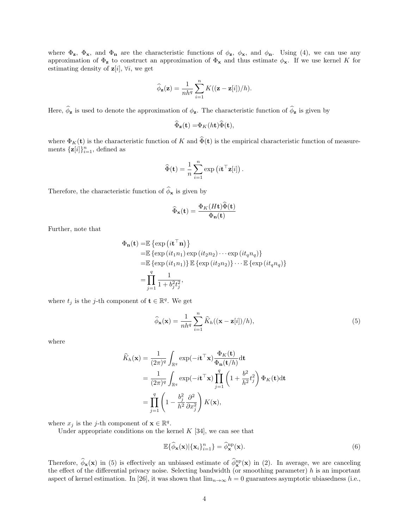where  $\Phi_z$ ,  $\Phi_x$ , and  $\Phi_n$  are the characteristic functions of  $\phi_z$ ,  $\phi_x$ , and  $\phi_n$ . Using (4), we can use any approximation of  $\Phi_{\mathbf{z}}$  to construct an approximation of  $\Phi_{\mathbf{x}}$  and thus estimate  $\phi_{\mathbf{x}}$ . If we use kernel K for estimating density of  $z[i], \forall i$ , we get

$$
\widehat{\phi}_{\mathbf{z}}(\mathbf{z}) = \frac{1}{nh^q} \sum_{i=1}^n K((\mathbf{z} - \mathbf{z}[i])/h).
$$

Here,  $\hat{\phi}_z$  is used to denote the approximation of  $\phi_z$ . The characteristic function of  $\hat{\phi}_z$  is given by

$$
\widehat{\Phi}_{\mathbf{z}}(\mathbf{t}) = \Phi_K(h\mathbf{t})\widehat{\Phi}(\mathbf{t}),
$$

where  $\Phi_K(\mathbf{t})$  is the characteristic function of K and  $\widehat{\Phi}(\mathbf{t})$  is the empirical characteristic function of measurements  $\{\mathbf{z}[i]\}_{i=1}^n$ , defined as

$$
\widehat{\Phi}(\mathbf{t}) = \frac{1}{n} \sum_{i=1}^{n} \exp \left(i \mathbf{t}^\top \mathbf{z}[i]\right).
$$

Therefore, the characteristic function of  $\widehat{\phi}_{\mathbf{x}}$  is given by

$$
\widehat{\Phi}_{\mathbf{x}}(\mathbf{t}) = \frac{\Phi_K(H\mathbf{t})\widehat{\Phi}(\mathbf{t})}{\Phi_{\mathbf{n}}(\mathbf{t})}
$$

Further, note that

$$
\Phi_{\mathbf{n}}(\mathbf{t}) = \mathbb{E} \left\{ \exp\left(i\mathbf{t}^{\top}\mathbf{n}\right) \right\}
$$
  
\n
$$
= \mathbb{E} \left\{ \exp\left(i t_1 n_1 \right) \exp\left(i t_2 n_2 \right) \cdots \exp\left(i t_q n_q \right) \right\}
$$
  
\n
$$
= \mathbb{E} \left\{ \exp\left(i t_1 n_1 \right) \right\} \mathbb{E} \left\{ \exp\left(i t_2 n_2 \right) \right\} \cdots \mathbb{E} \left\{ \exp\left(i t_q n_q \right) \right\}
$$
  
\n
$$
= \prod_{j=1}^q \frac{1}{1 + b_j^2 t_j^2},
$$

where  $t_j$  is the j-th component of  $\mathbf{t} \in \mathbb{R}^q$ . We get

$$
\widehat{\phi}_{\mathbf{x}}(\mathbf{x}) = \frac{1}{nh^q} \sum_{i=1}^n \widehat{K}_h((\mathbf{x} - \mathbf{z}[i])/h),
$$
\n(5)

where

$$
\widehat{K}_h(\mathbf{x}) = \frac{1}{(2\pi)^q} \int_{\mathbb{R}^q} \exp(-i\mathbf{t}^\top \mathbf{x}) \frac{\Phi_K(\mathbf{t})}{\Phi_n(\mathbf{t}/h)} \mathrm{d}\mathbf{t}
$$
\n
$$
= \frac{1}{(2\pi)^q} \int_{\mathbb{R}^q} \exp(-i\mathbf{t}^\top \mathbf{x}) \prod_{j=1}^q \left(1 + \frac{b^2}{h^2} t_j^2\right) \Phi_K(\mathbf{t}) \mathrm{d}\mathbf{t}
$$
\n
$$
= \prod_{j=1}^q \left(1 - \frac{b_j^2}{h^2} \frac{\partial^2}{\partial x_j^2}\right) K(\mathbf{x}),
$$

where  $x_j$  is the j-th component of  $\mathbf{x} \in \mathbb{R}^q$ .

Under appropriate conditions on the kernel  $K$  [34], we can see that

$$
\mathbb{E}\{\widehat{\phi}_{\mathbf{x}}(\mathbf{x})|\{\mathbf{x}_i\}_{i=1}^n\} = \widehat{\phi}_{\mathbf{x}}^{\text{np}}(\mathbf{x}).\tag{6}
$$

Therefore,  $\phi_{\mathbf{x}}(\mathbf{x})$  in (5) is effectively an unbiased estimate of  $\phi_{\mathbf{x}}^{np}(\mathbf{x})$  in (2). In average, we are canceling the effect of the differential privacy noise. Selecting bandwidth (or smoothing parameter)  $h$  is an important aspect of kernel estimation. In [26], it was shown that  $\lim_{n\to\infty} h = 0$  guarantees asymptotic ubiasedness (i.e.,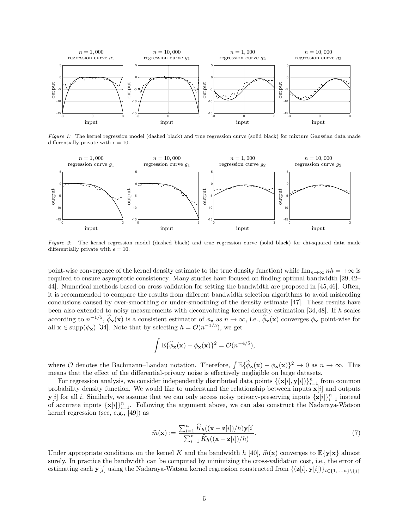

Figure 1: The kernel regression model (dashed black) and true regression curve (solid black) for mixture Gaussian data made differentially private with  $\epsilon = 10$ .



Figure 2: The kernel regression model (dashed black) and true regression curve (solid black) for chi-squared data made differentially private with  $\epsilon = 10$ .

point-wise convergence of the kernel density estimate to the true density function) while  $\lim_{n\to\infty}nh = +\infty$  is required to ensure asymptotic consistency. Many studies have focused on finding optimal bandwidth [29,42– 44]. Numerical methods based on cross validation for setting the bandwidth are proposed in [45, 46]. Often, it is recommended to compare the results from different bandwidth selection algorithms to avoid misleading conclusions caused by over-smoothing or under-smoothing of the density estimate [47]. These results have been also extended to noisy measurements with deconvoluting kernel density estimation [34, 48]. If h scales according to  $n^{-1/5}$ ,  $\hat{\phi}_{\mathbf{x}}(\mathbf{x})$  is a consistent estimator of  $\phi_{\mathbf{x}}$  as  $n \to \infty$ , i.e.,  $\hat{\phi}_{\mathbf{x}}(\mathbf{x})$  converges  $\phi_{\mathbf{x}}$  point-wise for all  $\mathbf{x} \in \text{supp}(\phi_{\mathbf{x}})$  [34]. Note that by selecting  $h = \mathcal{O}(n^{-1/5})$ , we get

$$
\int \mathbb{E}\{\widehat{\phi}_{\mathbf{x}}(\mathbf{x}) - \phi_{\mathbf{x}}(\mathbf{x})\}^2 = \mathcal{O}(n^{-4/5}),
$$

where O denotes the Bachmann–Landau notation. Therefore,  $\int \mathbb{E} {\{\hat{\phi}_x(\mathbf{x}) - \phi_x(\mathbf{x})\}}^2 \to 0$  as  $n \to \infty$ . This means that the effect of the differential-privacy noise is effectively negligible on large datasets.

For regression analysis, we consider independently distributed data points  $\{(\mathbf{x}[i], \mathbf{y}[i])\}_{i=1}^n$  from common probability density function. We would like to understand the relationship between inputs  $\mathbf{x}[i]$  and outputs  $\mathbf{y}[i]$  for all i. Similarly, we assume that we can only access noisy privacy-preserving inputs  $\{\mathbf{z}[i]\}_{i=1}^n$  instead of accurate inputs  $\{\mathbf{x}[i]\}_{i=1}^n$ . Following the argument above, we can also construct the Nadaraya-Watson kernel regression (see, e.g., [49]) as

$$
\widehat{m}(\mathbf{x}) := \frac{\sum_{i=1}^{n} \widehat{K}_h((\mathbf{x} - \mathbf{z}[i])/h)\mathbf{y}[i]}{\sum_{i=1}^{n} \widehat{K}_h((\mathbf{x} - \mathbf{z}[i])/h)}.
$$
\n(7)

Under appropriate conditions on the kernel K and the bandwidth h [40],  $\hat{m}(\mathbf{x})$  converges to  $\mathbb{E}\{\mathbf{y}|\mathbf{x}\}\$  almost surely. In practice the bandwidth can be computed by minimizing the cross-validation cost, i.e., the error of estimating each y[j] using the Nadaraya-Watson kernel regression constructed from  $\{(\mathbf{z}[i], \mathbf{y}[i])\}_{i \in \{1,\ldots,n\}\setminus\{j\}}$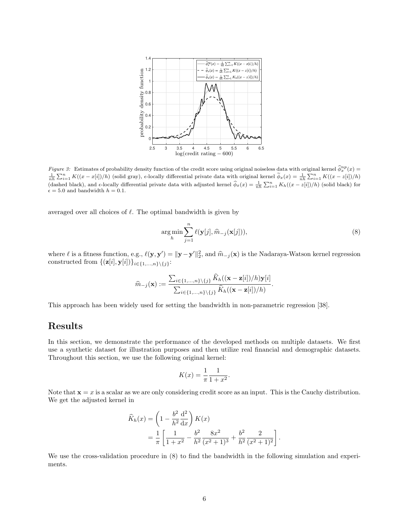

Figure 3: Estimates of probability density function of the credit score using original noiseless data with original kernel  $\hat{\phi}_x^{np}(x)$  $\frac{1}{nh}\sum_{i=1}^{n} K((x-x[i])/h)$  (solid gray),  $\epsilon$ -locally differential private data with original kernel  $\widetilde{\phi}_x(x) = \frac{1}{nh}\sum_{i=1}^{n} K((x-z[i])/h)$ (dashed black), and  $\epsilon$ -locally differential private data with adjusted kernel  $\hat{\phi}_x(x) = \frac{1}{nh} \sum_{i=1}^n K_h((x - z[i])/h)$  (solid black) for  $\epsilon = 5.0$  and bandwidth  $h = 0.1$ .

averaged over all choices of  $\ell$ . The optimal bandwidth is given by

$$
\underset{h}{\arg\min} \sum_{j=1}^{n} \ell(\mathbf{y}[j], \widehat{m}_{-j}(\mathbf{x}[j])),
$$
\n(8)

where  $\ell$  is a fitness function, e.g.,  $\ell(\mathbf{y}, \mathbf{y}') = ||\mathbf{y} - \mathbf{y}'||_2^2$ , and  $\hat{m}_{-j}(\mathbf{x})$  is the Nadaraya-Watson kernel regression constructed from  $\{(\mathbf{z}[i], \mathbf{y}[i])\}_{i \in \{1, ..., n\}\setminus\{j\}}$ :

$$
\widehat{m}_{-j}(\mathbf{x}) := \frac{\sum_{i \in \{1,\ldots,n\} \setminus \{j\}} \widehat{K}_h((\mathbf{x}-\mathbf{z}[i])/h)\mathbf{y}[i]}{\sum_{i \in \{1,\ldots,n\} \setminus \{j\}} \widehat{K}_h((\mathbf{x}-\mathbf{z}[i])/h)}.
$$

This approach has been widely used for setting the bandwidth in non-parametric regression [38].

# Results

In this section, we demonstrate the performance of the developed methods on multiple datasets. We first use a synthetic dataset for illustration purposes and then utilize real financial and demographic datasets. Throughout this section, we use the following original kernel:

$$
K(x) = \frac{1}{\pi} \frac{1}{1 + x^2}.
$$

Note that  $x = x$  is a scalar as we are only considering credit score as an input. This is the Cauchy distribution. We get the adjusted kernel in

$$
\widehat{K}_h(x) = \left(1 - \frac{b^2}{h^2} \frac{d^2}{dx}\right) K(x)
$$
  
=  $\frac{1}{\pi} \left[ \frac{1}{1 + x^2} - \frac{b^2}{h^2} \frac{8x^2}{(x^2 + 1)^3} + \frac{b^2}{h^2} \frac{2}{(x^2 + 1)^2} \right].$ 

We use the cross-validation procedure in  $(8)$  to find the bandwidth in the following simulation and experiments.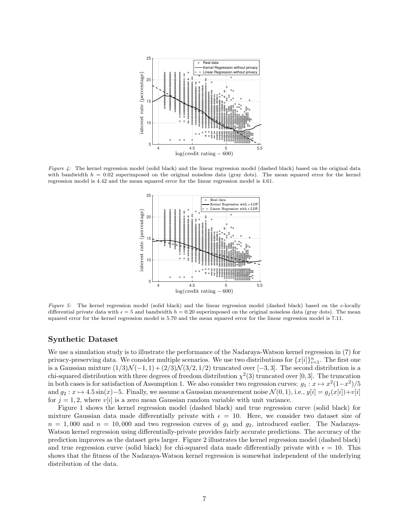

Figure 4: The kernel regression model (solid black) and the linear regression model (dashed black) based on the original data with bandwidth  $h = 0.02$  superimposed on the original noiseless data (gray dots). The mean squared error for the kernel regression model is 4.42 and the mean squared error for the linear regression model is 4.61.



Figure 5: The kernel regression model (solid black) and the linear regression model (dashed black) based on the  $\epsilon$ -locally differential private data with  $\epsilon = 5$  and bandwidth  $h = 0.20$  superimposed on the original noiseless data (gray dots). The mean squared error for the kernel regression model is 5.70 and the mean squared error for the linear regression model is 7.11.

#### Synthetic Dataset

We use a simulation study is to illustrate the performance of the Nadaraya-Watson kernel regression in (7) for privacy-preserving data. We consider multiple scenarios. We use two distributions for  $\{x[i]\}_{i=1}^n$ . The first one is a Gaussian mixture  $(1/3)\mathcal{N}(-1, 1) + (2/3)\mathcal{N}(3/2, 1/2)$  truncated over [-3, 3]. The second distribution is a chi-squared distribution with three degrees of freedom distribution  $\chi^2(3)$  truncated over [0, 3]. The truncation in both cases is for satisfaction of Assumption 1. We also consider two regression curves:  $g_1: x \mapsto x^2(1-x^2)/5$ and  $g_2: x \mapsto 4.5 \sin(x) - 5$ . Finally, we assume a Gaussian measurement noise  $\mathcal{N}(0, 1)$ , i.e.,  $y[i] = g_j(x[i]) + v[i]$ for  $j = 1, 2$ , where  $v[i]$  is a zero mean Gaussian random variable with unit variance.

Figure 1 shows the kernel regression model (dashed black) and true regression curve (solid black) for mixture Gaussian data made differentially private with  $\epsilon = 10$ . Here, we consider two dataset size of  $n = 1,000$  and  $n = 10,000$  and two regression curves of  $g_1$  and  $g_2$ , introduced earlier. The Nadaraya-Watson kernel regression using differentially-private provides fairly accurate predictions. The accuracy of the prediction improves as the dataset gets larger. Figure 2 illustrates the kernel regression model (dashed black) and true regression curve (solid black) for chi-squared data made differentially private with  $\epsilon = 10$ . This shows that the fitness of the Nadaraya-Watson kernel regression is somewhat independent of the underlying distribution of the data.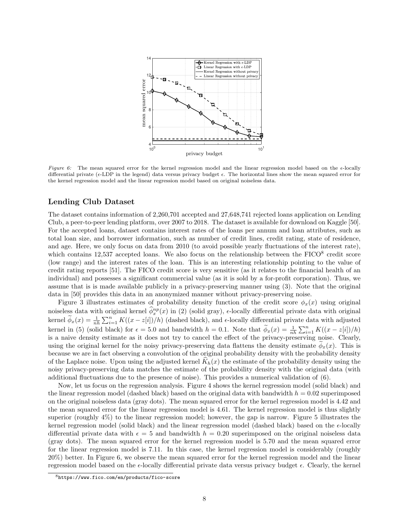

Figure 6: The mean squared error for the kernel regression model and the linear regression model based on the  $\epsilon$ -locally differential private ( $\epsilon$ -LDP in the legend) data versus privacy budget  $\epsilon$ . The horizontal lines show the mean squared error for the kernel regression model and the linear regression model based on original noiseless data.

#### Lending Club Dataset

The dataset contains information of 2,260,701 accepted and 27,648,741 rejected loans application on Lending Club, a peer-to-peer lending platform, over 2007 to 2018. The dataset is available for download on Kaggle [50]. For the accepted loans, dataset contains interest rates of the loans per annum and loan attributes, such as total loan size, and borrower information, such as number of credit lines, credit rating, state of residence, and age. Here, we only focus on data from 2010 (to avoid possible yearly fluctuations of the interest rate), which contains  $12,537$  accepted loans. We also focus on the relationship between the FICO<sup>8</sup> credit score (low range) and the interest rates of the loan. This is an interesting relationship pointing to the value of credit rating reports [51]. The FICO credit score is very sensitive (as it relates to the financial health of an individual) and possesses a significant commercial value (as it is sold by a for-profit corporation). Thus, we assume that is is made available publicly in a privacy-preserving manner using (3). Note that the original data in [50] provides this data in an anonymized manner without privacy-preserving noise.

Figure 3 illustrates estimates of probability density function of the credit score  $\phi_x(x)$  using original noiseless data with original kernel  $\widehat{\phi}_x^{np}(x)$  in (2) (solid gray),  $\epsilon$ -locally differential private data with original kernel  $\widetilde{\phi}_x(x) = \frac{1}{nh} \sum_{i=1}^n K((x - z[i])/h)$  (dashed black), and  $\epsilon$ -locally differential private data with adjusted kernel in (5) (solid black) for  $\epsilon = 5.0$  and bandwidth  $h = 0.1$ . Note that  $\widetilde{\phi}_x(x) = \frac{1}{nh} \sum_{i=1}^n K((x - z[i])/h)$ is a naive density estimate as it does not try to cancel the effect of the privacy-preserving noise. Clearly, using the original kernel for the noisy privacy-preserving data flattens the density estimate  $\phi_x(x)$ . This is because we are in fact observing a convolution of the original probability density with the probability density of the Laplace noise. Upon using the adjusted kernel  $K_h(x)$  the estimate of the probability density using the noisy privacy-preserving data matches the estimate of the probability density with the original data (with additional fluctuations due to the presence of noise). This provides a numerical validation of (6).

Now, let us focus on the regression analysis. Figure 4 shows the kernel regression model (solid black) and the linear regression model (dashed black) based on the original data with bandwidth  $h = 0.02$  superimposed on the original noiseless data (gray dots). The mean squared error for the kernel regression model is 4.42 and the mean squared error for the linear regression model is 4.61. The kernel regression model is thus slightly superior (roughly 4%) to the linear regression model; however, the gap is narrow. Figure 5 illustrates the kernel regression model (solid black) and the linear regression model (dashed black) based on the  $\epsilon$ -locally differential private data with  $\epsilon = 5$  and bandwidth  $h = 0.20$  superimposed on the original noiseless data (gray dots). The mean squared error for the kernel regression model is 5.70 and the mean squared error for the linear regression model is 7.11. In this case, the kernel regression model is considerably (roughly 20%) better. In Figure 6, we observe the mean squared error for the kernel regression model and the linear regression model based on the  $\epsilon$ -locally differential private data versus privacy budget  $\epsilon$ . Clearly, the kernel

<sup>8</sup>https://www.fico.com/en/products/fico-score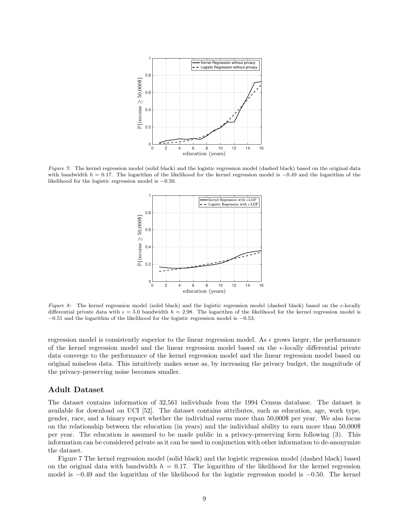

Figure 7: The kernel regression model (solid black) and the logistic regression model (dashed black) based on the original data with bandwidth  $h = 0.17$ . The logarithm of the likelihood for the kernel regression model is  $-0.49$  and the logarithm of the likelihood for the logistic regression model is −0.50.



Figure 8: The kernel regression model (solid black) and the logistic regression model (dashed black) based on the  $\epsilon$ -locally differential private data with  $\epsilon = 5.0$  bandwidth  $h = 2.98$ . The logarithm of the likelihood for the kernel regression model is −0.51 and the logarithm of the likelihood for the logistic regression model is −0.53.

regression model is consistently superior to the linear regression model. As  $\epsilon$  grows larger, the performance of the kernel regression model and the linear regression model based on the  $\epsilon$ -locally differential private data converge to the performance of the kernel regression model and the linear regression model based on original noiseless data. This intuitively makes sense as, by increasing the privacy budget, the magnitude of the privacy-preserving noise becomes smaller.

#### Adult Dataset

The dataset contains information of 32,561 individuals from the 1994 Census database. The dataset is available for download on UCI [52]. The dataset contains attributes, such as education, age, work type, gender, race, and a binary report whether the individual earns more than 50,000\$ per year. We also focus on the relationship between the education (in years) and the individual ability to earn more than 50,000\$ per year. The education is assumed to be made public in a privacy-preserving form following (3). This information can be considered private as it can be used in conjunction with other information to de-anonymize the dataset.

Figure 7 The kernel regression model (solid black) and the logistic regression model (dashed black) based on the original data with bandwidth  $h = 0.17$ . The logarithm of the likelihood for the kernel regression model is −0.49 and the logarithm of the likelihood for the logistic regression model is −0.50. The kernel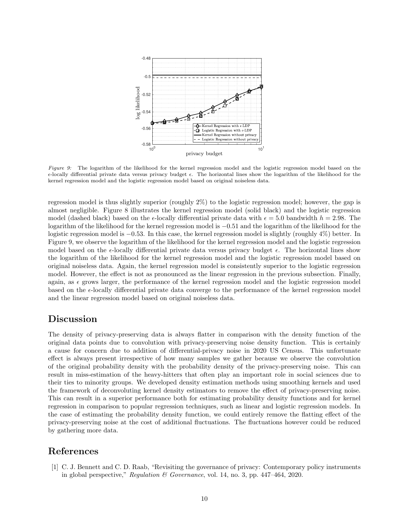

Figure 9: The logarithm of the likelihood for the kernel regression model and the logistic regression model based on the  $\epsilon$ -locally differential private data versus privacy budget  $\epsilon$ . The horizontal lines show the logarithm of the likelihood for the kernel regression model and the logistic regression model based on original noiseless data.

regression model is thus slightly superior (roughly 2%) to the logistic regression model; however, the gap is almost negligible. Figure 8 illustrates the kernel regression model (solid black) and the logistic regression model (dashed black) based on the  $\epsilon$ -locally differential private data with  $\epsilon = 5.0$  bandwidth  $h = 2.98$ . The logarithm of the likelihood for the kernel regression model is −0.51 and the logarithm of the likelihood for the logistic regression model is −0.53. In this case, the kernel regression model is slightly (roughly 4%) better. In Figure 9, we observe the logarithm of the likelihood for the kernel regression model and the logistic regression model based on the  $\epsilon$ -locally differential private data versus privacy budget  $\epsilon$ . The horizontal lines show the logarithm of the likelihood for the kernel regression model and the logistic regression model based on original noiseless data. Again, the kernel regression model is consistently superior to the logistic regression model. However, the effect is not as pronounced as the linear regression in the previous subsection. Finally, again, as  $\epsilon$  grows larger, the performance of the kernel regression model and the logistic regression model based on the  $\epsilon$ -locally differential private data converge to the performance of the kernel regression model and the linear regression model based on original noiseless data.

### Discussion

The density of privacy-preserving data is always flatter in comparison with the density function of the original data points due to convolution with privacy-preserving noise density function. This is certainly a cause for concern due to addition of differential-privacy noise in 2020 US Census. This unfortunate effect is always present irrespective of how many samples we gather because we observe the convolution of the original probability density with the probability density of the privacy-preserving noise. This can result in miss-estimation of the heavy-hitters that often play an important role in social sciences due to their ties to minority groups. We developed density estimation methods using smoothing kernels and used the framework of deconvoluting kernel density estimators to remove the effect of privacy-preserving noise. This can result in a superior performance both for estimating probability density functions and for kernel regression in comparison to popular regression techniques, such as linear and logistic regression models. In the case of estimating the probability density function, we could entirely remove the flatting effect of the privacy-preserving noise at the cost of additional fluctuations. The fluctuations however could be reduced by gathering more data.

## References

[1] C. J. Bennett and C. D. Raab, "Revisiting the governance of privacy: Contemporary policy instruments in global perspective," Regulation  $\mathcal B$  Governance, vol. 14, no. 3, pp. 447–464, 2020.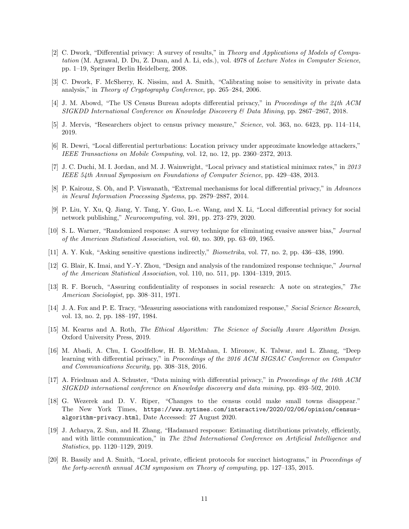- [2] C. Dwork, "Differential privacy: A survey of results," in Theory and Applications of Models of Computation (M. Agrawal, D. Du, Z. Duan, and A. Li, eds.), vol. 4978 of Lecture Notes in Computer Science, pp. 1–19, Springer Berlin Heidelberg, 2008.
- [3] C. Dwork, F. McSherry, K. Nissim, and A. Smith, "Calibrating noise to sensitivity in private data analysis," in Theory of Cryptography Conference, pp. 265–284, 2006.
- [4] J. M. Abowd, "The US Census Bureau adopts differential privacy," in Proceedings of the 24th ACM SIGKDD International Conference on Knowledge Discovery & Data Mining, pp. 2867–2867, 2018.
- [5] J. Mervis, "Researchers object to census privacy measure," Science, vol. 363, no. 6423, pp. 114–114, 2019.
- [6] R. Dewri, "Local differential perturbations: Location privacy under approximate knowledge attackers," IEEE Transactions on Mobile Computing, vol. 12, no. 12, pp. 2360–2372, 2013.
- [7] J. C. Duchi, M. I. Jordan, and M. J. Wainwright, "Local privacy and statistical minimax rates," in 2013 IEEE 54th Annual Symposium on Foundations of Computer Science, pp. 429–438, 2013.
- [8] P. Kairouz, S. Oh, and P. Viswanath, "Extremal mechanisms for local differential privacy," in Advances in Neural Information Processing Systems, pp. 2879–2887, 2014.
- [9] P. Liu, Y. Xu, Q. Jiang, Y. Tang, Y. Guo, L.-e. Wang, and X. Li, "Local differential privacy for social network publishing," Neurocomputing, vol. 391, pp. 273–279, 2020.
- [10] S. L. Warner, "Randomized response: A survey technique for eliminating evasive answer bias," Journal of the American Statistical Association, vol. 60, no. 309, pp. 63–69, 1965.
- [11] A. Y. Kuk, "Asking sensitive questions indirectly," Biometrika, vol. 77, no. 2, pp. 436–438, 1990.
- [12] G. Blair, K. Imai, and Y.-Y. Zhou, "Design and analysis of the randomized response technique," Journal of the American Statistical Association, vol. 110, no. 511, pp. 1304–1319, 2015.
- [13] R. F. Boruch, "Assuring confidentiality of responses in social research: A note on strategies," The American Sociologist, pp. 308–311, 1971.
- [14] J. A. Fox and P. E. Tracy, "Measuring associations with randomized response," Social Science Research, vol. 13, no. 2, pp. 188–197, 1984.
- [15] M. Kearns and A. Roth, The Ethical Algorithm: The Science of Socially Aware Algorithm Design. Oxford University Press, 2019.
- [16] M. Abadi, A. Chu, I. Goodfellow, H. B. McMahan, I. Mironov, K. Talwar, and L. Zhang, "Deep learning with differential privacy," in Proceedings of the 2016 ACM SIGSAC Conference on Computer and Communications Security, pp. 308–318, 2016.
- [17] A. Friedman and A. Schuster, "Data mining with differential privacy," in Proceedings of the 16th ACM SIGKDD international conference on Knowledge discovery and data mining, pp. 493–502, 2010.
- [18] G. Wezerek and D. V. Riper, "Changes to the census could make small towns disappear." The New York Times, https://www.nytimes.com/interactive/2020/02/06/opinion/censusalgorithm-privacy.html, Date Accessed: 27 August 2020.
- [19] J. Acharya, Z. Sun, and H. Zhang, "Hadamard response: Estimating distributions privately, efficiently, and with little communication," in The 22nd International Conference on Artificial Intelligence and Statistics, pp. 1120–1129, 2019.
- [20] R. Bassily and A. Smith, "Local, private, efficient protocols for succinct histograms," in Proceedings of the forty-seventh annual ACM symposium on Theory of computing, pp. 127–135, 2015.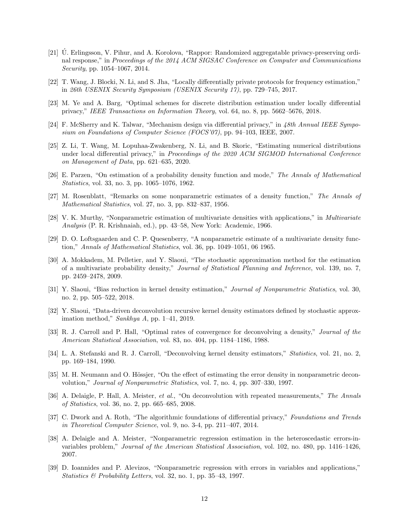- [21] U. Erlingsson, V. Pihur, and A. Korolova, "Rappor: Randomized aggregatable privacy-preserving ordi- ´ nal response," in Proceedings of the 2014 ACM SIGSAC Conference on Computer and Communications Security, pp. 1054–1067, 2014.
- [22] T. Wang, J. Blocki, N. Li, and S. Jha, "Locally differentially private protocols for frequency estimation," in 26th USENIX Security Symposium (USENIX Security 17), pp. 729–745, 2017.
- [23] M. Ye and A. Barg, "Optimal schemes for discrete distribution estimation under locally differential privacy," IEEE Transactions on Information Theory, vol. 64, no. 8, pp. 5662–5676, 2018.
- [24] F. McSherry and K. Talwar, "Mechanism design via differential privacy," in 48th Annual IEEE Symposium on Foundations of Computer Science (FOCS'07), pp. 94–103, IEEE, 2007.
- [25] Z. Li, T. Wang, M. Lopuhaa-Zwakenberg, N. Li, and B. Skoric, "Estimating numerical distributions under local differential privacy," in Proceedings of the 2020 ACM SIGMOD International Conference on Management of Data, pp. 621–635, 2020.
- [26] E. Parzen, "On estimation of a probability density function and mode," The Annals of Mathematical Statistics, vol. 33, no. 3, pp. 1065–1076, 1962.
- [27] M. Rosenblatt, "Remarks on some nonparametric estimates of a density function," The Annals of Mathematical Statistics, vol. 27, no. 3, pp. 832–837, 1956.
- [28] V. K. Murthy, "Nonparametric estimation of multivariate densities with applications," in Multivariate Analysis (P. R. Krishnaiah, ed.), pp. 43–58, New York: Academic, 1966.
- [29] D. O. Loftsgaarden and C. P. Quesenberry, "A nonparametric estimate of a multivariate density function," Annals of Mathematical Statistics, vol. 36, pp. 1049–1051, 06 1965.
- [30] A. Mokkadem, M. Pelletier, and Y. Slaoui, "The stochastic approximation method for the estimation of a multivariate probability density," Journal of Statistical Planning and Inference, vol. 139, no. 7, pp. 2459–2478, 2009.
- [31] Y. Slaoui, "Bias reduction in kernel density estimation," Journal of Nonparametric Statistics, vol. 30, no. 2, pp. 505–522, 2018.
- [32] Y. Slaoui, "Data-driven deconvolution recursive kernel density estimators defined by stochastic approximation method," Sankhya A, pp. 1–41, 2019.
- [33] R. J. Carroll and P. Hall, "Optimal rates of convergence for deconvolving a density," Journal of the American Statistical Association, vol. 83, no. 404, pp. 1184–1186, 1988.
- [34] L. A. Stefanski and R. J. Carroll, "Deconvolving kernel density estimators," Statistics, vol. 21, no. 2, pp. 169–184, 1990.
- [35] M. H. Neumann and O. Hössjer, "On the effect of estimating the error density in nonparametric deconvolution," Journal of Nonparametric Statistics, vol. 7, no. 4, pp. 307–330, 1997.
- [36] A. Delaigle, P. Hall, A. Meister, et al., "On deconvolution with repeated measurements," The Annals of Statistics, vol. 36, no. 2, pp. 665–685, 2008.
- [37] C. Dwork and A. Roth, "The algorithmic foundations of differential privacy," Foundations and Trends in Theoretical Computer Science, vol. 9, no. 3-4, pp. 211–407, 2014.
- [38] A. Delaigle and A. Meister, "Nonparametric regression estimation in the heteroscedastic errors-invariables problem," Journal of the American Statistical Association, vol. 102, no. 480, pp. 1416–1426, 2007.
- [39] D. Ioannides and P. Alevizos, "Nonparametric regression with errors in variables and applications," *Statistics & Probability Letters, vol.* 32, no. 1, pp. 35–43, 1997.